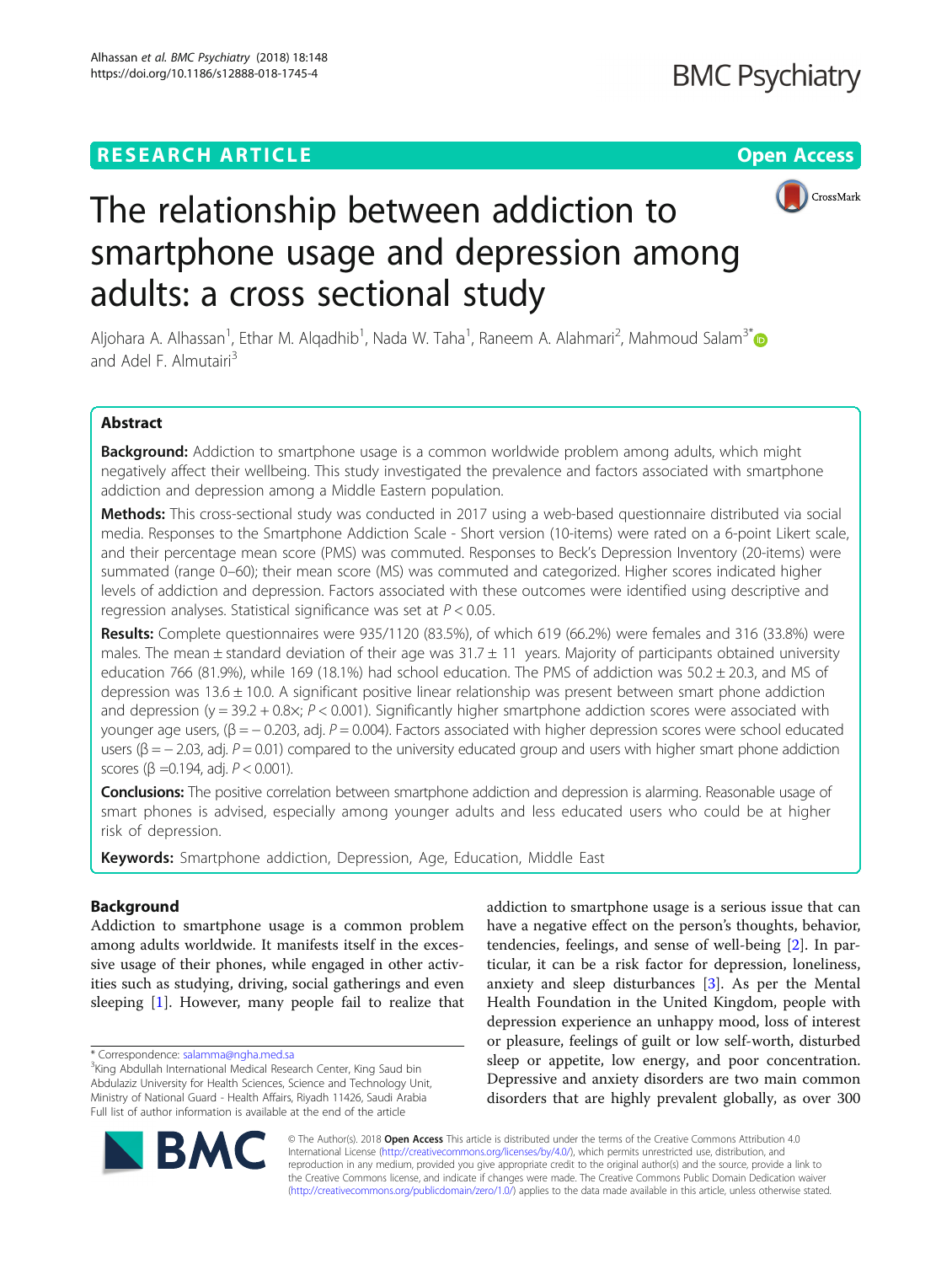## **RESEARCH ARTICLE EXECUTE: Open Access**



# The relationship between addiction to smartphone usage and depression among adults: a cross sectional study

Aljohara A. Alhassan<sup>1</sup>, Ethar M. Alqadhib<sup>1</sup>, Nada W. Taha<sup>1</sup>, Raneem A. Alahmari<sup>2</sup>, Mahmoud Salam<sup>3\*</sup> and Adel F. Almutairi $3$ 

## Abstract

Background: Addiction to smartphone usage is a common worldwide problem among adults, which might negatively affect their wellbeing. This study investigated the prevalence and factors associated with smartphone addiction and depression among a Middle Eastern population.

Methods: This cross-sectional study was conducted in 2017 using a web-based questionnaire distributed via social media. Responses to the Smartphone Addiction Scale - Short version (10-items) were rated on a 6-point Likert scale, and their percentage mean score (PMS) was commuted. Responses to Beck's Depression Inventory (20-items) were summated (range 0–60); their mean score (MS) was commuted and categorized. Higher scores indicated higher levels of addiction and depression. Factors associated with these outcomes were identified using descriptive and regression analyses. Statistical significance was set at  $P < 0.05$ .

Results: Complete questionnaires were 935/1120 (83.5%), of which 619 (66.2%) were females and 316 (33.8%) were males. The mean  $\pm$  standard deviation of their age was 31.7  $\pm$  11 years. Majority of participants obtained university education 766 (81.9%), while 169 (18.1%) had school education. The PMS of addiction was  $50.2 \pm 20.3$ , and MS of depression was  $13.6 \pm 10.0$ . A significant positive linear relationship was present between smart phone addiction and depression ( $y = 39.2 + 0.8x$ ;  $P < 0.001$ ). Significantly higher smartphone addiction scores were associated with younger age users,  $(β = -0.203, adj. P = 0.004)$ . Factors associated with higher depression scores were school educated users ( $β = -2.03$ , adj.  $P = 0.01$ ) compared to the university educated group and users with higher smart phone addiction scores (β = 0.194, adj.  $P < 0.001$ ).

Conclusions: The positive correlation between smartphone addiction and depression is alarming. Reasonable usage of smart phones is advised, especially among younger adults and less educated users who could be at higher risk of depression.

Keywords: Smartphone addiction, Depression, Age, Education, Middle East

## Background

Addiction to smartphone usage is a common problem among adults worldwide. It manifests itself in the excessive usage of their phones, while engaged in other activities such as studying, driving, social gatherings and even sleeping [[1](#page-6-0)]. However, many people fail to realize that

addiction to smartphone usage is a serious issue that can have a negative effect on the person's thoughts, behavior, tendencies, feelings, and sense of well-being [[2](#page-6-0)]. In particular, it can be a risk factor for depression, loneliness, anxiety and sleep disturbances [[3\]](#page-6-0). As per the Mental Health Foundation in the United Kingdom, people with depression experience an unhappy mood, loss of interest or pleasure, feelings of guilt or low self-worth, disturbed sleep or appetite, low energy, and poor concentration. Depressive and anxiety disorders are two main common disorders that are highly prevalent globally, as over 300



© The Author(s). 2018 Open Access This article is distributed under the terms of the Creative Commons Attribution 4.0 International License [\(http://creativecommons.org/licenses/by/4.0/](http://creativecommons.org/licenses/by/4.0/)), which permits unrestricted use, distribution, and reproduction in any medium, provided you give appropriate credit to the original author(s) and the source, provide a link to the Creative Commons license, and indicate if changes were made. The Creative Commons Public Domain Dedication waiver [\(http://creativecommons.org/publicdomain/zero/1.0/](http://creativecommons.org/publicdomain/zero/1.0/)) applies to the data made available in this article, unless otherwise stated.

<sup>\*</sup> Correspondence: [salamma@ngha.med.sa](mailto:salamma@ngha.med.sa) <sup>3</sup>

<sup>&</sup>lt;sup>3</sup>King Abdullah International Medical Research Center, King Saud bin Abdulaziz University for Health Sciences, Science and Technology Unit, Ministry of National Guard - Health Affairs, Riyadh 11426, Saudi Arabia Full list of author information is available at the end of the article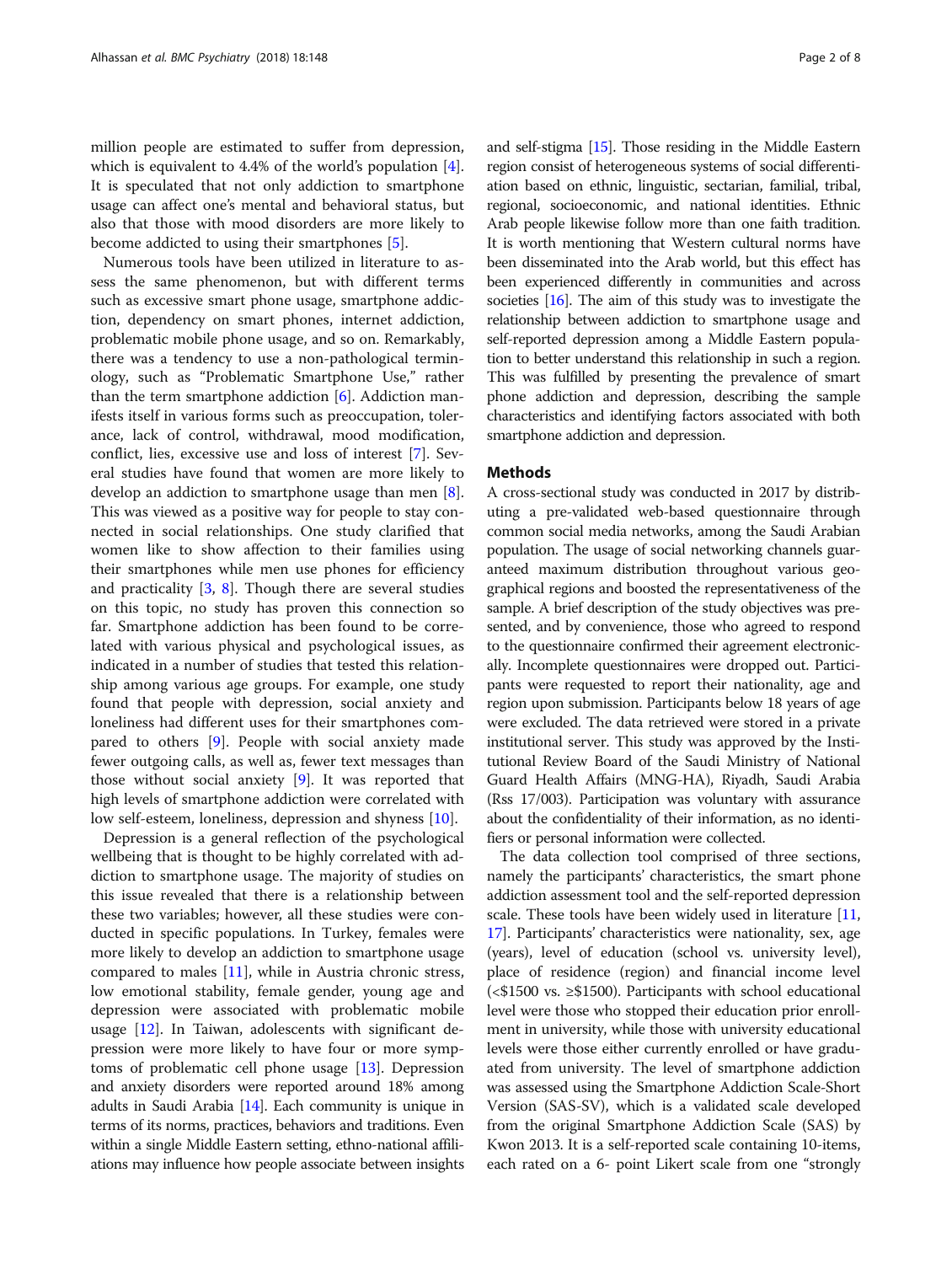million people are estimated to suffer from depression, which is equivalent to 4.4% of the world's population [\[4](#page-6-0)]. It is speculated that not only addiction to smartphone usage can affect one's mental and behavioral status, but also that those with mood disorders are more likely to become addicted to using their smartphones [\[5](#page-6-0)].

Numerous tools have been utilized in literature to assess the same phenomenon, but with different terms such as excessive smart phone usage, smartphone addiction, dependency on smart phones, internet addiction, problematic mobile phone usage, and so on. Remarkably, there was a tendency to use a non-pathological terminology, such as "Problematic Smartphone Use," rather than the term smartphone addiction  $[6]$  $[6]$ . Addiction manifests itself in various forms such as preoccupation, tolerance, lack of control, withdrawal, mood modification, conflict, lies, excessive use and loss of interest [[7\]](#page-7-0). Several studies have found that women are more likely to develop an addiction to smartphone usage than men [\[8](#page-7-0)]. This was viewed as a positive way for people to stay connected in social relationships. One study clarified that women like to show affection to their families using their smartphones while men use phones for efficiency and practicality  $[3, 8]$  $[3, 8]$  $[3, 8]$  $[3, 8]$ . Though there are several studies on this topic, no study has proven this connection so far. Smartphone addiction has been found to be correlated with various physical and psychological issues, as indicated in a number of studies that tested this relationship among various age groups. For example, one study found that people with depression, social anxiety and loneliness had different uses for their smartphones compared to others [\[9](#page-7-0)]. People with social anxiety made fewer outgoing calls, as well as, fewer text messages than those without social anxiety [[9](#page-7-0)]. It was reported that high levels of smartphone addiction were correlated with low self-esteem, loneliness, depression and shyness [[10](#page-7-0)].

Depression is a general reflection of the psychological wellbeing that is thought to be highly correlated with addiction to smartphone usage. The majority of studies on this issue revealed that there is a relationship between these two variables; however, all these studies were conducted in specific populations. In Turkey, females were more likely to develop an addiction to smartphone usage compared to males [[11](#page-7-0)], while in Austria chronic stress, low emotional stability, female gender, young age and depression were associated with problematic mobile usage [\[12\]](#page-7-0). In Taiwan, adolescents with significant depression were more likely to have four or more symptoms of problematic cell phone usage [\[13](#page-7-0)]. Depression and anxiety disorders were reported around 18% among adults in Saudi Arabia [\[14](#page-7-0)]. Each community is unique in terms of its norms, practices, behaviors and traditions. Even within a single Middle Eastern setting, ethno-national affiliations may influence how people associate between insights and self-stigma [\[15](#page-7-0)]. Those residing in the Middle Eastern region consist of heterogeneous systems of social differentiation based on ethnic, linguistic, sectarian, familial, tribal, regional, socioeconomic, and national identities. Ethnic Arab people likewise follow more than one faith tradition. It is worth mentioning that Western cultural norms have been disseminated into the Arab world, but this effect has been experienced differently in communities and across societies [[16](#page-7-0)]. The aim of this study was to investigate the relationship between addiction to smartphone usage and self-reported depression among a Middle Eastern population to better understand this relationship in such a region. This was fulfilled by presenting the prevalence of smart phone addiction and depression, describing the sample characteristics and identifying factors associated with both smartphone addiction and depression.

#### **Methods**

A cross-sectional study was conducted in 2017 by distributing a pre-validated web-based questionnaire through common social media networks, among the Saudi Arabian population. The usage of social networking channels guaranteed maximum distribution throughout various geographical regions and boosted the representativeness of the sample. A brief description of the study objectives was presented, and by convenience, those who agreed to respond to the questionnaire confirmed their agreement electronically. Incomplete questionnaires were dropped out. Participants were requested to report their nationality, age and region upon submission. Participants below 18 years of age were excluded. The data retrieved were stored in a private institutional server. This study was approved by the Institutional Review Board of the Saudi Ministry of National Guard Health Affairs (MNG-HA), Riyadh, Saudi Arabia (Rss 17/003). Participation was voluntary with assurance about the confidentiality of their information, as no identifiers or personal information were collected.

The data collection tool comprised of three sections, namely the participants' characteristics, the smart phone addiction assessment tool and the self-reported depression scale. These tools have been widely used in literature [[11](#page-7-0), [17](#page-7-0)]. Participants' characteristics were nationality, sex, age (years), level of education (school vs. university level), place of residence (region) and financial income level (<\$1500 vs. ≥\$1500). Participants with school educational level were those who stopped their education prior enrollment in university, while those with university educational levels were those either currently enrolled or have graduated from university. The level of smartphone addiction was assessed using the Smartphone Addiction Scale-Short Version (SAS-SV), which is a validated scale developed from the original Smartphone Addiction Scale (SAS) by Kwon 2013. It is a self-reported scale containing 10-items, each rated on a 6- point Likert scale from one "strongly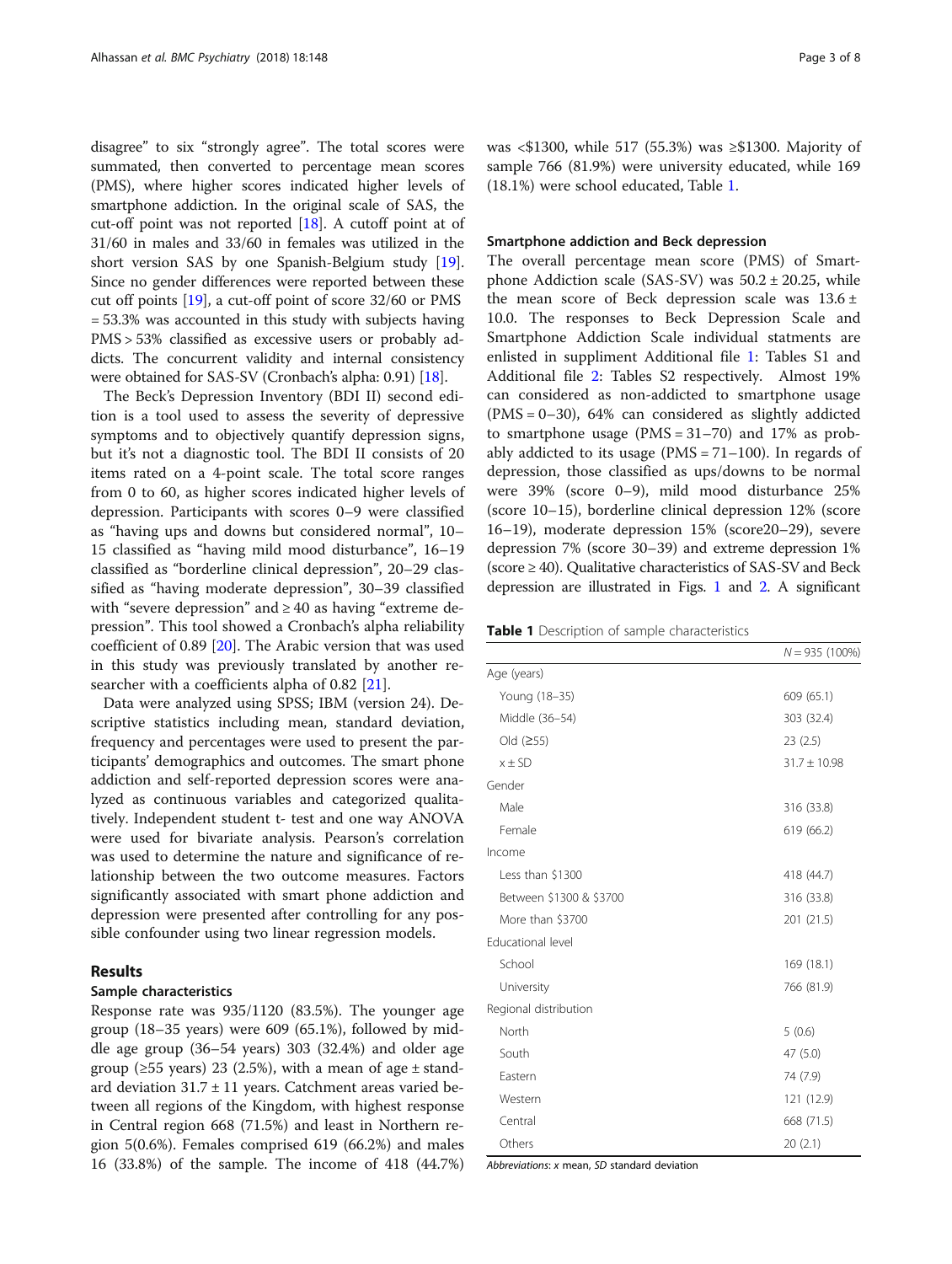disagree" to six "strongly agree". The total scores were summated, then converted to percentage mean scores (PMS), where higher scores indicated higher levels of smartphone addiction. In the original scale of SAS, the cut-off point was not reported [[18](#page-7-0)]. A cutoff point at of 31/60 in males and 33/60 in females was utilized in the short version SAS by one Spanish-Belgium study [[19](#page-7-0)]. Since no gender differences were reported between these cut off points [\[19\]](#page-7-0), a cut-off point of score 32/60 or PMS = 53.3% was accounted in this study with subjects having PMS > 53% classified as excessive users or probably addicts. The concurrent validity and internal consistency were obtained for SAS-SV (Cronbach's alpha: 0.91) [\[18](#page-7-0)].

The Beck's Depression Inventory (BDI II) second edition is a tool used to assess the severity of depressive symptoms and to objectively quantify depression signs, but it's not a diagnostic tool. The BDI II consists of 20 items rated on a 4-point scale. The total score ranges from 0 to 60, as higher scores indicated higher levels of depression. Participants with scores 0–9 were classified as "having ups and downs but considered normal", 10– 15 classified as "having mild mood disturbance", 16–19 classified as "borderline clinical depression", 20–29 classified as "having moderate depression", 30–39 classified with "severe depression" and ≥ 40 as having "extreme depression". This tool showed a Cronbach's alpha reliability coefficient of 0.89 [\[20](#page-7-0)]. The Arabic version that was used in this study was previously translated by another re-searcher with a coefficients alpha of 0.82 [[21](#page-7-0)].

Data were analyzed using SPSS; IBM (version 24). Descriptive statistics including mean, standard deviation, frequency and percentages were used to present the participants' demographics and outcomes. The smart phone addiction and self-reported depression scores were analyzed as continuous variables and categorized qualitatively. Independent student t- test and one way ANOVA were used for bivariate analysis. Pearson's correlation was used to determine the nature and significance of relationship between the two outcome measures. Factors significantly associated with smart phone addiction and depression were presented after controlling for any possible confounder using two linear regression models.

#### Results

### Sample characteristics

Response rate was 935/1120 (83.5%). The younger age group (18–35 years) were 609 (65.1%), followed by middle age group (36–54 years) 303 (32.4%) and older age group ( $\geq$ 55 years) 23 (2.5%), with a mean of age  $\pm$  standard deviation 31.7 ± 11 years. Catchment areas varied between all regions of the Kingdom, with highest response in Central region 668 (71.5%) and least in Northern region 5(0.6%). Females comprised 619 (66.2%) and males 16 (33.8%) of the sample. The income of 418 (44.7%) was <\$1300, while 517 (55.3%) was ≥\$1300. Majority of sample 766 (81.9%) were university educated, while 169 (18.1%) were school educated, Table 1.

#### Smartphone addiction and Beck depression

The overall percentage mean score (PMS) of Smartphone Addiction scale (SAS-SV) was  $50.2 \pm 20.25$ , while the mean score of Beck depression scale was  $13.6 \pm$ 10.0. The responses to Beck Depression Scale and Smartphone Addiction Scale individual statments are enlisted in suppliment Additional file [1](#page-6-0): Tables S1 and Additional file [2](#page-6-0): Tables S2 respectively. Almost 19% can considered as non-addicted to smartphone usage (PMS = 0–30), 64% can considered as slightly addicted to smartphone usage  $(PMS = 31-70)$  and 17% as probably addicted to its usage ( $PMS = 71-100$ ). In regards of depression, those classified as ups/downs to be normal were 39% (score 0–9), mild mood disturbance 25% (score 10–15), borderline clinical depression 12% (score 16–19), moderate depression 15% (score20–29), severe depression 7% (score 30–39) and extreme depression 1% (score  $\geq$  40). Qualitative characteristics of SAS-SV and Beck depression are illustrated in Figs. [1](#page-3-0) and [2](#page-3-0). A significant

Table 1 Description of sample characteristics

|                         | $N = 935(100\%)$ |
|-------------------------|------------------|
| Age (years)             |                  |
| Young (18-35)           | 609 (65.1)       |
| Middle (36-54)          | 303 (32.4)       |
| Old $(255)$             | 23(2.5)          |
| $x \pm SD$              | $31.7 \pm 10.98$ |
| Gender                  |                  |
| Male                    | 316 (33.8)       |
| Female                  | 619 (66.2)       |
| Income                  |                  |
| Less than \$1300        | 418 (44.7)       |
| Between \$1300 & \$3700 | 316 (33.8)       |
| More than \$3700        | 201 (21.5)       |
| Educational level       |                  |
| School                  | 169 (18.1)       |
| University              | 766 (81.9)       |
| Regional distribution   |                  |
| North                   | 5(0.6)           |
| South                   | 47(5.0)          |
| Eastern                 | 74 (7.9)         |
| Western                 | 121 (12.9)       |
| Central                 | 668 (71.5)       |
| Others                  | 20(2.1)          |

Abbreviations: x mean, SD standard deviation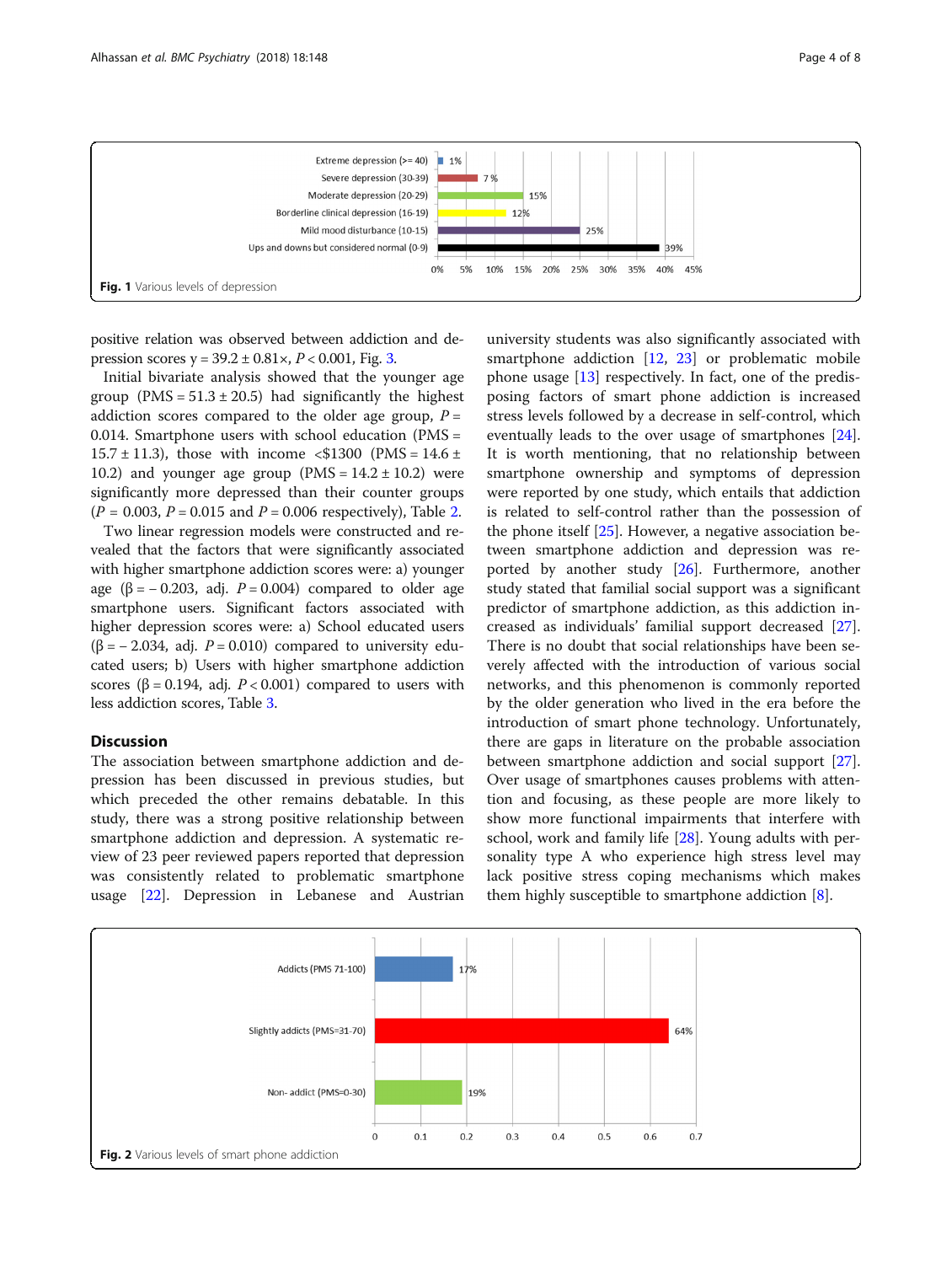<span id="page-3-0"></span>

positive relation was observed between addiction and depression scores  $y = 39.2 \pm 0.81 \times$  $y = 39.2 \pm 0.81 \times$  $y = 39.2 \pm 0.81 \times$ ,  $P < 0.001$ , Fig. 3.

Initial bivariate analysis showed that the younger age group (PMS =  $51.3 \pm 20.5$ ) had significantly the highest addiction scores compared to the older age group,  $P =$ 0.014. Smartphone users with school education (PMS = 15.7 ± 11.3), those with income  $\langle $1300 \rangle$  (PMS = 14.6 ± 10.2) and younger age group  $(PMS = 14.2 \pm 10.2)$  were significantly more depressed than their counter groups  $(P = 0.003, P = 0.015 \text{ and } P = 0.006 \text{ respectively})$ , Table [2.](#page-4-0)

Two linear regression models were constructed and revealed that the factors that were significantly associated with higher smartphone addiction scores were: a) younger age ( $\beta$  = -0.203, adj. P = 0.004) compared to older age smartphone users. Significant factors associated with higher depression scores were: a) School educated users ( $\beta$  = - 2.034, adj. *P* = 0.010) compared to university educated users; b) Users with higher smartphone addiction scores ( $\beta$  = 0.194, adj. *P* < 0.001) compared to users with less addiction scores, Table [3](#page-5-0).

## **Discussion**

The association between smartphone addiction and depression has been discussed in previous studies, but which preceded the other remains debatable. In this study, there was a strong positive relationship between smartphone addiction and depression. A systematic review of 23 peer reviewed papers reported that depression was consistently related to problematic smartphone usage [\[22\]](#page-7-0). Depression in Lebanese and Austrian

university students was also significantly associated with smartphone addiction [[12,](#page-7-0) [23](#page-7-0)] or problematic mobile phone usage [[13](#page-7-0)] respectively. In fact, one of the predisposing factors of smart phone addiction is increased stress levels followed by a decrease in self-control, which eventually leads to the over usage of smartphones [\[24](#page-7-0)]. It is worth mentioning, that no relationship between smartphone ownership and symptoms of depression were reported by one study, which entails that addiction is related to self-control rather than the possession of the phone itself [[25](#page-7-0)]. However, a negative association between smartphone addiction and depression was reported by another study [\[26](#page-7-0)]. Furthermore, another study stated that familial social support was a significant predictor of smartphone addiction, as this addiction increased as individuals' familial support decreased [\[27](#page-7-0)]. There is no doubt that social relationships have been severely affected with the introduction of various social networks, and this phenomenon is commonly reported by the older generation who lived in the era before the introduction of smart phone technology. Unfortunately, there are gaps in literature on the probable association between smartphone addiction and social support [\[27](#page-7-0)]. Over usage of smartphones causes problems with attention and focusing, as these people are more likely to show more functional impairments that interfere with school, work and family life [\[28\]](#page-7-0). Young adults with personality type A who experience high stress level may lack positive stress coping mechanisms which makes them highly susceptible to smartphone addiction [\[8](#page-7-0)].

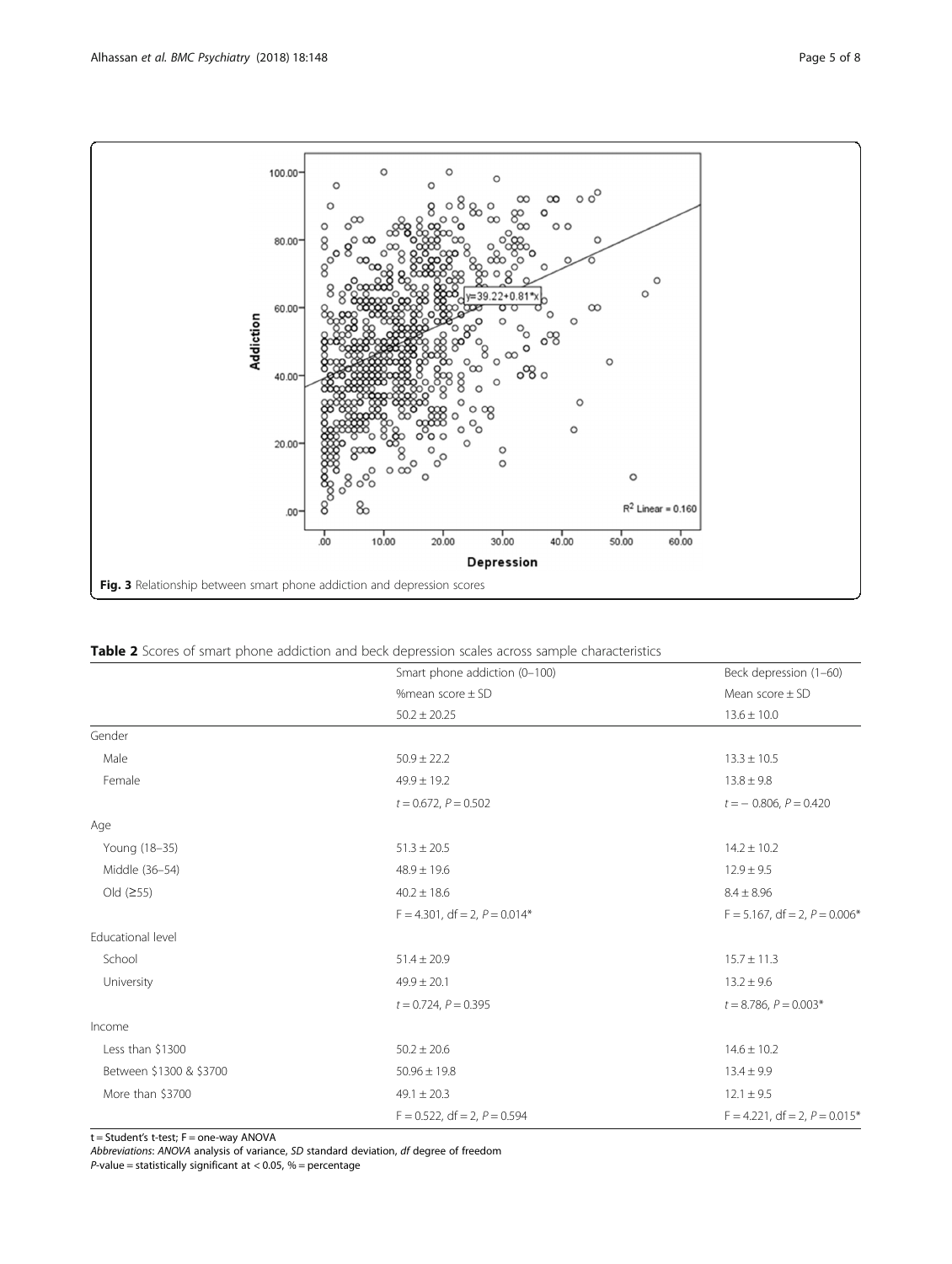<span id="page-4-0"></span>

|                                                                         | Depression |
|-------------------------------------------------------------------------|------------|
| Fig. 3 Relationship between smart phone addiction and depression scores |            |

|  |  |  |  |  | <b>Table 2</b> Scores of smart phone addiction and beck depression scales across sample characteristics |
|--|--|--|--|--|---------------------------------------------------------------------------------------------------------|
|  |  |  |  |  |                                                                                                         |

|                         | Smart phone addiction (0-100)      | Beck depression (1-60)                 |  |  |
|-------------------------|------------------------------------|----------------------------------------|--|--|
|                         | % mean score $\pm$ SD              | Mean score $\pm$ SD<br>$13.6 \pm 10.0$ |  |  |
|                         | $50.2 \pm 20.25$                   |                                        |  |  |
| Gender                  |                                    |                                        |  |  |
| Male                    | $50.9 \pm 22.2$                    | $13.3 \pm 10.5$                        |  |  |
| Female                  | $49.9 \pm 19.2$                    | $13.8 \pm 9.8$                         |  |  |
|                         | $t = 0.672$ , $P = 0.502$          | $t = -0.806$ , $P = 0.420$             |  |  |
| Age                     |                                    |                                        |  |  |
| Young (18-35)           | $51.3 \pm 20.5$                    | $14.2 \pm 10.2$                        |  |  |
| Middle (36-54)          | $48.9 \pm 19.6$                    | $12.9 \pm 9.5$                         |  |  |
| Old $(255)$             | $40.2 \pm 18.6$                    | $8.4 \pm 8.96$                         |  |  |
|                         | $F = 4.301$ , df = 2, $P = 0.014*$ | $F = 5.167$ , df = 2, $P = 0.006*$     |  |  |
| Educational level       |                                    |                                        |  |  |
| School                  | $51.4 \pm 20.9$                    | $15.7 \pm 11.3$                        |  |  |
| University              | $49.9 \pm 20.1$                    | $13.2 \pm 9.6$                         |  |  |
|                         | $t = 0.724$ , $P = 0.395$          | $t = 8.786$ , $P = 0.003*$             |  |  |
| Income                  |                                    |                                        |  |  |
| Less than \$1300        | $50.2 \pm 20.6$                    | $14.6 \pm 10.2$                        |  |  |
| Between \$1300 & \$3700 | $50.96 \pm 19.8$                   | $13.4 \pm 9.9$                         |  |  |
| More than \$3700        | $49.1 \pm 20.3$                    | $12.1 \pm 9.5$                         |  |  |
|                         | $F = 0.522$ , df = 2, $P = 0.594$  | $F = 4.221$ , df = 2, $P = 0.015*$     |  |  |
|                         |                                    |                                        |  |  |

t = Student's t-test; F = one-way ANOVA<br>*Abbreviations: ANOVA analysis of variance, SD standard deviation, df degree of freedom* 

 $P$ -value = statistically significant at < 0.05, % = percentage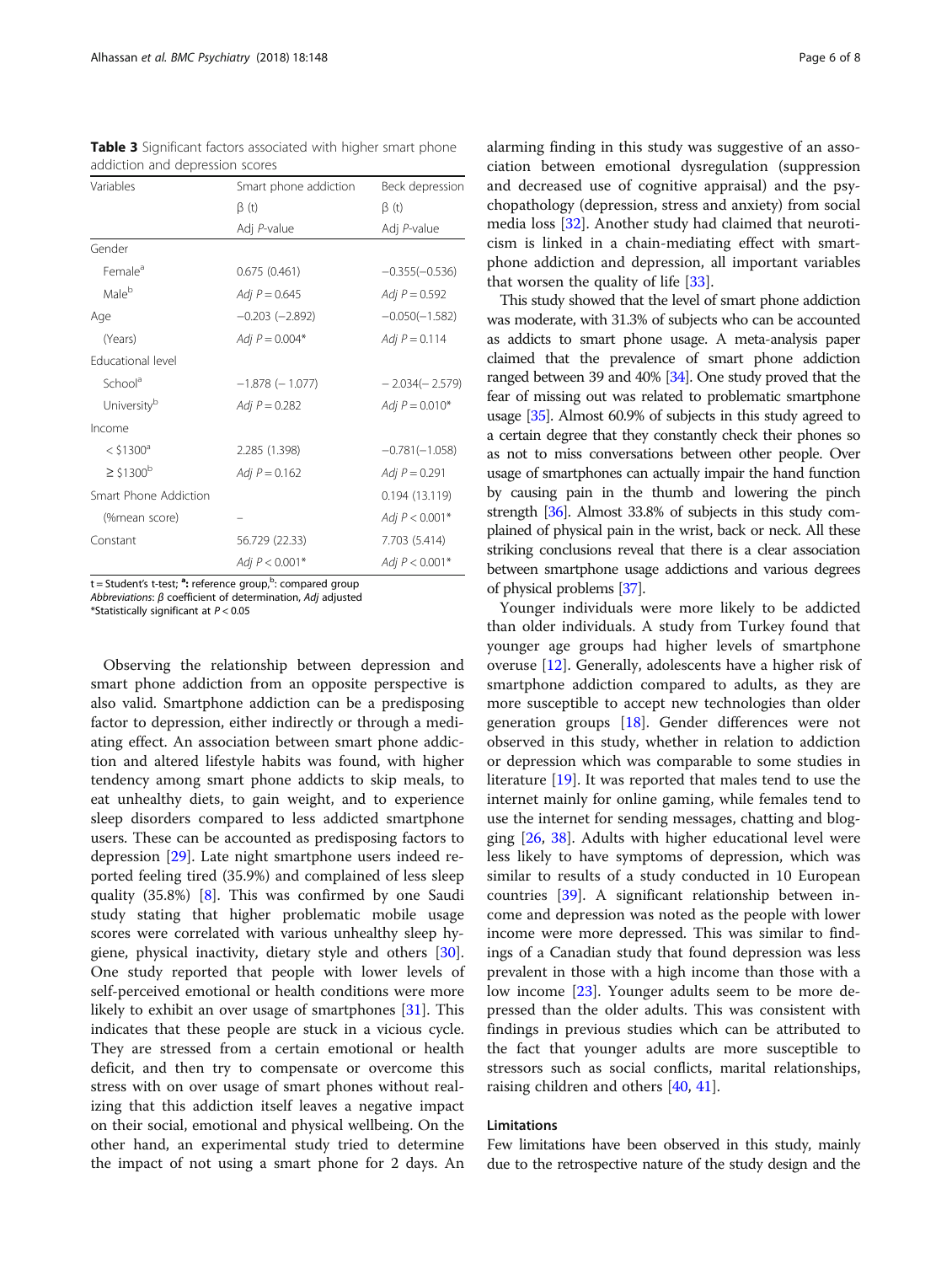<span id="page-5-0"></span>Table 3 Significant factors associated with higher smart phone addiction and depression scores

| Variables                  | Smart phone addiction | Beck depression  |  |
|----------------------------|-----------------------|------------------|--|
|                            | $\beta(t)$            | $\beta(t)$       |  |
|                            | Adj P-value           | Adj P-value      |  |
| Gender                     |                       |                  |  |
| Female <sup>a</sup>        | 0.675(0.461)          | $-0.355(-0.536)$ |  |
| Male <sup>b</sup>          | Adj $P = 0.645$       | Adj $P = 0.592$  |  |
| Age                        | $-0.203$ $(-2.892)$   | $-0.050(-1.582)$ |  |
| (Years)                    | Adj $P = 0.004*$      | Adj $P = 0.114$  |  |
| Educational level          |                       |                  |  |
| School <sup>a</sup>        | $-1.878$ ( $-1.077$ ) | $-2.034(-2.579)$ |  |
| University <sup>b</sup>    | Adj $P = 0.282$       | Adj $P = 0.010*$ |  |
| Income                     |                       |                  |  |
| $<$ \$1300 $^{\circ}$      | 2.285 (1.398)         | $-0.781(-1.058)$ |  |
| $\geq$ \$1300 <sup>b</sup> | Adj $P = 0.162$       | Adj $P = 0.291$  |  |
| Smart Phone Addiction      |                       | 0.194(13.119)    |  |
| (%mean score)              |                       | Adj $P < 0.001*$ |  |
| Constant                   | 56.729 (22.33)        | 7.703 (5.414)    |  |
|                            | Adj $P < 0.001*$      | Adj $P < 0.001*$ |  |

t = Student's t-test; <sup>a</sup> : reference group,<sup>b</sup> : compared group Abbreviations: β coefficient of determination, Adj adjusted

\*Statistically significant at  $P < 0.05$ 

Observing the relationship between depression and smart phone addiction from an opposite perspective is also valid. Smartphone addiction can be a predisposing factor to depression, either indirectly or through a mediating effect. An association between smart phone addiction and altered lifestyle habits was found, with higher tendency among smart phone addicts to skip meals, to eat unhealthy diets, to gain weight, and to experience sleep disorders compared to less addicted smartphone users. These can be accounted as predisposing factors to depression [[29\]](#page-7-0). Late night smartphone users indeed reported feeling tired (35.9%) and complained of less sleep quality (35.8%) [[8\]](#page-7-0). This was confirmed by one Saudi study stating that higher problematic mobile usage scores were correlated with various unhealthy sleep hygiene, physical inactivity, dietary style and others [\[30](#page-7-0)]. One study reported that people with lower levels of self-perceived emotional or health conditions were more likely to exhibit an over usage of smartphones [\[31\]](#page-7-0). This indicates that these people are stuck in a vicious cycle. They are stressed from a certain emotional or health deficit, and then try to compensate or overcome this stress with on over usage of smart phones without realizing that this addiction itself leaves a negative impact on their social, emotional and physical wellbeing. On the other hand, an experimental study tried to determine the impact of not using a smart phone for 2 days. An

alarming finding in this study was suggestive of an association between emotional dysregulation (suppression and decreased use of cognitive appraisal) and the psychopathology (depression, stress and anxiety) from social media loss [[32\]](#page-7-0). Another study had claimed that neuroticism is linked in a chain-mediating effect with smartphone addiction and depression, all important variables that worsen the quality of life [[33](#page-7-0)].

This study showed that the level of smart phone addiction was moderate, with 31.3% of subjects who can be accounted as addicts to smart phone usage. A meta-analysis paper claimed that the prevalence of smart phone addiction ranged between 39 and 40% [\[34\]](#page-7-0). One study proved that the fear of missing out was related to problematic smartphone usage [\[35](#page-7-0)]. Almost 60.9% of subjects in this study agreed to a certain degree that they constantly check their phones so as not to miss conversations between other people. Over usage of smartphones can actually impair the hand function by causing pain in the thumb and lowering the pinch strength [\[36](#page-7-0)]. Almost 33.8% of subjects in this study complained of physical pain in the wrist, back or neck. All these striking conclusions reveal that there is a clear association between smartphone usage addictions and various degrees of physical problems [[37](#page-7-0)].

Younger individuals were more likely to be addicted than older individuals. A study from Turkey found that younger age groups had higher levels of smartphone overuse [\[12](#page-7-0)]. Generally, adolescents have a higher risk of smartphone addiction compared to adults, as they are more susceptible to accept new technologies than older generation groups [\[18](#page-7-0)]. Gender differences were not observed in this study, whether in relation to addiction or depression which was comparable to some studies in literature [\[19](#page-7-0)]. It was reported that males tend to use the internet mainly for online gaming, while females tend to use the internet for sending messages, chatting and blogging [\[26,](#page-7-0) [38\]](#page-7-0). Adults with higher educational level were less likely to have symptoms of depression, which was similar to results of a study conducted in 10 European countries [[39](#page-7-0)]. A significant relationship between income and depression was noted as the people with lower income were more depressed. This was similar to findings of a Canadian study that found depression was less prevalent in those with a high income than those with a low income [[23\]](#page-7-0). Younger adults seem to be more depressed than the older adults. This was consistent with findings in previous studies which can be attributed to the fact that younger adults are more susceptible to stressors such as social conflicts, marital relationships, raising children and others [[40,](#page-7-0) [41](#page-7-0)].

## Limitations

Few limitations have been observed in this study, mainly due to the retrospective nature of the study design and the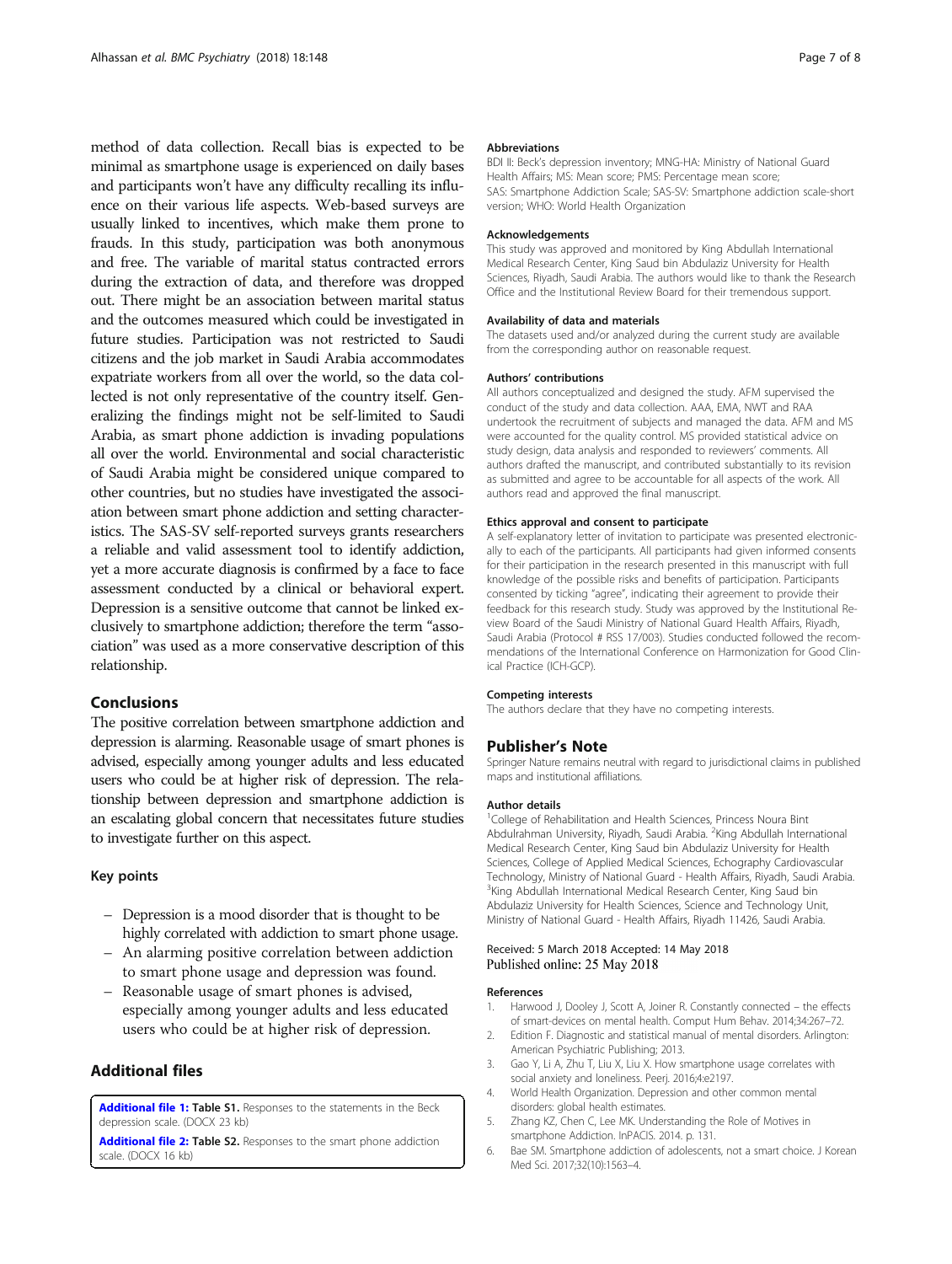<span id="page-6-0"></span>method of data collection. Recall bias is expected to be minimal as smartphone usage is experienced on daily bases and participants won't have any difficulty recalling its influence on their various life aspects. Web-based surveys are usually linked to incentives, which make them prone to frauds. In this study, participation was both anonymous and free. The variable of marital status contracted errors during the extraction of data, and therefore was dropped out. There might be an association between marital status and the outcomes measured which could be investigated in future studies. Participation was not restricted to Saudi citizens and the job market in Saudi Arabia accommodates expatriate workers from all over the world, so the data collected is not only representative of the country itself. Generalizing the findings might not be self-limited to Saudi Arabia, as smart phone addiction is invading populations all over the world. Environmental and social characteristic of Saudi Arabia might be considered unique compared to other countries, but no studies have investigated the association between smart phone addiction and setting characteristics. The SAS-SV self-reported surveys grants researchers a reliable and valid assessment tool to identify addiction, yet a more accurate diagnosis is confirmed by a face to face assessment conducted by a clinical or behavioral expert. Depression is a sensitive outcome that cannot be linked exclusively to smartphone addiction; therefore the term "association" was used as a more conservative description of this relationship.

#### Conclusions

The positive correlation between smartphone addiction and depression is alarming. Reasonable usage of smart phones is advised, especially among younger adults and less educated users who could be at higher risk of depression. The relationship between depression and smartphone addiction is an escalating global concern that necessitates future studies to investigate further on this aspect.

#### Key points

- Depression is a mood disorder that is thought to be highly correlated with addiction to smart phone usage.
- An alarming positive correlation between addiction to smart phone usage and depression was found.
- Reasonable usage of smart phones is advised, especially among younger adults and less educated users who could be at higher risk of depression.

## Additional files

[Additional file 1:](https://doi.org/10.1186/s12888-018-1745-4) Table S1. Responses to the statements in the Beck depression scale. (DOCX 23 kb)

[Additional file 2:](https://doi.org/10.1186/s12888-018-1745-4) Table S2. Responses to the smart phone addiction scale. (DOCX 16 kb)

#### Abbreviations

BDI II: Beck's depression inventory; MNG-HA: Ministry of National Guard Health Affairs; MS: Mean score; PMS: Percentage mean score; SAS: Smartphone Addiction Scale; SAS-SV: Smartphone addiction scale-short version; WHO: World Health Organization

#### Acknowledgements

This study was approved and monitored by King Abdullah International Medical Research Center, King Saud bin Abdulaziz University for Health Sciences, Riyadh, Saudi Arabia. The authors would like to thank the Research Office and the Institutional Review Board for their tremendous support.

#### Availability of data and materials

The datasets used and/or analyzed during the current study are available from the corresponding author on reasonable request.

#### Authors' contributions

All authors conceptualized and designed the study. AFM supervised the conduct of the study and data collection. AAA, EMA, NWT and RAA undertook the recruitment of subjects and managed the data. AFM and MS were accounted for the quality control. MS provided statistical advice on study design, data analysis and responded to reviewers' comments. All authors drafted the manuscript, and contributed substantially to its revision as submitted and agree to be accountable for all aspects of the work. All authors read and approved the final manuscript.

#### Ethics approval and consent to participate

A self-explanatory letter of invitation to participate was presented electronically to each of the participants. All participants had given informed consents for their participation in the research presented in this manuscript with full knowledge of the possible risks and benefits of participation. Participants consented by ticking "agree", indicating their agreement to provide their feedback for this research study. Study was approved by the Institutional Review Board of the Saudi Ministry of National Guard Health Affairs, Riyadh, Saudi Arabia (Protocol # RSS 17/003). Studies conducted followed the recommendations of the International Conference on Harmonization for Good Clinical Practice (ICH-GCP).

#### Competing interests

The authors declare that they have no competing interests.

#### Publisher's Note

Springer Nature remains neutral with regard to jurisdictional claims in published maps and institutional affiliations.

#### Author details

<sup>1</sup>College of Rehabilitation and Health Sciences, Princess Noura Bint Abdulrahman University, Riyadh, Saudi Arabia. <sup>2</sup>King Abdullah International Medical Research Center, King Saud bin Abdulaziz University for Health Sciences, College of Applied Medical Sciences, Echography Cardiovascular Technology, Ministry of National Guard - Health Affairs, Riyadh, Saudi Arabia. <sup>3</sup>King Abdullah International Medical Research Center, King Saud bin Abdulaziz University for Health Sciences, Science and Technology Unit, Ministry of National Guard - Health Affairs, Riyadh 11426, Saudi Arabia.

#### Received: 5 March 2018 Accepted: 14 May 2018 Published online: 25 May 2018

#### References

- Harwood J, Dooley J, Scott A, Joiner R. Constantly connected the effects of smart-devices on mental health. Comput Hum Behav. 2014;34:267–72.
- 2. Edition F. Diagnostic and statistical manual of mental disorders. Arlington: American Psychiatric Publishing; 2013.
- 3. Gao Y, Li A, Zhu T, Liu X, Liu X. How smartphone usage correlates with social anxiety and loneliness. Peerj. 2016;4:e2197.
- 4. World Health Organization. Depression and other common mental disorders: global health estimates.
- 5. Zhang KZ, Chen C, Lee MK. Understanding the Role of Motives in smartphone Addiction. InPACIS. 2014. p. 131.
- 6. Bae SM. Smartphone addiction of adolescents, not a smart choice. J Korean Med Sci. 2017;32(10):1563–4.